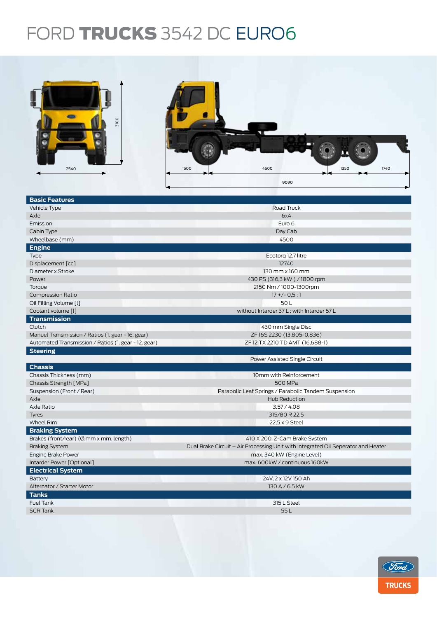## FORD TRUCKS 3542 DC EURO6

| oore<br>2540                                         | 1500<br>4500<br>1350<br>1740<br>9090                                              |  |  |  |  |
|------------------------------------------------------|-----------------------------------------------------------------------------------|--|--|--|--|
|                                                      |                                                                                   |  |  |  |  |
| <b>Basic Features</b>                                |                                                                                   |  |  |  |  |
| Vehicle Type                                         | Road Truck                                                                        |  |  |  |  |
| Axle                                                 | 6x4                                                                               |  |  |  |  |
| Emission                                             | Euro 6                                                                            |  |  |  |  |
| Cabin Type                                           | Day Cab                                                                           |  |  |  |  |
| Wheelbase (mm)                                       | 4500                                                                              |  |  |  |  |
| <b>Engine</b>                                        |                                                                                   |  |  |  |  |
| Type                                                 | Ecotorg 12.7 litre                                                                |  |  |  |  |
| Displacement [cc]                                    | 12740                                                                             |  |  |  |  |
| Diameter x Stroke                                    | 130 mm x 160 mm                                                                   |  |  |  |  |
| Power                                                | 430 PS (316,3 kW) / 1800 rpm                                                      |  |  |  |  |
| Torque                                               | 2150 Nm / 1000-1300rpm                                                            |  |  |  |  |
| <b>Compression Ratio</b>                             | $17 + (-0.5:1)$                                                                   |  |  |  |  |
| Oil Filling Volume [I]                               | 50L                                                                               |  |  |  |  |
| Coolant volume [l]                                   | without Intarder 37 L; with Intarder 57 L                                         |  |  |  |  |
| <b>Transmission</b>                                  |                                                                                   |  |  |  |  |
| Clutch                                               | 430 mm Single Disc                                                                |  |  |  |  |
| Manuel Transmission / Ratios (1. gear - 16. gear)    | ZF16S2230 (13,805-0,836)                                                          |  |  |  |  |
| Automated Transmission / Ratios (1. gear - 12. gear) | ZF 12 TX 2210 TD AMT (16,688-1)                                                   |  |  |  |  |
| <b>Steering</b>                                      |                                                                                   |  |  |  |  |
|                                                      | Power Assisted Single Circuit                                                     |  |  |  |  |
| <b>Chassis</b>                                       |                                                                                   |  |  |  |  |
| Chassis Thickness (mm)                               | 10mm with Reinforcement                                                           |  |  |  |  |
| Chassis Strength [MPa]                               | 500 MPa                                                                           |  |  |  |  |
| Suspension (Front / Rear)                            | Parabolic Leaf Springs / Parabolic Tandem Suspension                              |  |  |  |  |
| Axle                                                 | Hub Reduction                                                                     |  |  |  |  |
| Axle Ratio                                           | 3.57 / 4.08                                                                       |  |  |  |  |
| Tyres                                                | 315/80 R 22,5                                                                     |  |  |  |  |
| Wheel Rim                                            | 22,5 x 9 Steel                                                                    |  |  |  |  |
| <b>Braking System</b>                                |                                                                                   |  |  |  |  |
| Brakes (front/rear) (Ø.mm x mm. length)              | 410 X 200, Z-Cam Brake System                                                     |  |  |  |  |
| <b>Braking System</b>                                | Dual Brake Circuit - Air Processing Unit with Integrated Oil Seperator and Heater |  |  |  |  |
| Engine Brake Power                                   | max. 340 kW (Engine Level)                                                        |  |  |  |  |
| Intarder Power [Optional]                            | max. 600kW / continuous 160kW                                                     |  |  |  |  |
| <b>Electrical System</b>                             |                                                                                   |  |  |  |  |
| <b>Battery</b>                                       | 24V, 2 x 12V 150 Ah                                                               |  |  |  |  |
| Alternator / Starter Motor                           | 130 A / 6.5 kW                                                                    |  |  |  |  |
| <b>Tanks</b>                                         |                                                                                   |  |  |  |  |
| Fuel Tank                                            | 315 L Steel                                                                       |  |  |  |  |
| <b>SCR Tank</b>                                      | 55L                                                                               |  |  |  |  |